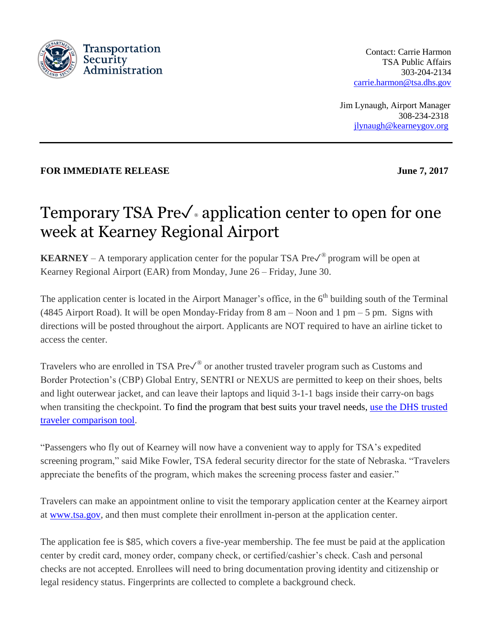

Contact: Carrie Harmon TSA Public Affairs 303-204-2134 [carrie.harmon@tsa.dhs.gov](mailto:carrie.harmon@tsa.dhs.gov)

**Jim Lynaugh, Airport Manager**  308-234-2318 [jlynaugh@kearneygov.org](mailto:jlynaugh@kearneygov.org)

## **FOR IMMEDIATE RELEASE 32017** June 7, 2017

## Temporary TSA Pre√ application center to open for one week at Kearney Regional Airport

**KEARNEY** – A temporary application center for the popular TSA Pre $\sqrt{\ }$ <sup>®</sup> program will be open at Kearney Regional Airport (EAR) from Monday, June 26 – Friday, June 30.

The application center is located in the Airport Manager's office, in the 6<sup>th</sup> building south of the Terminal (4845 Airport Road). It will be open Monday-Friday from 8 am – Noon and 1 pm – 5 pm. Signs with directions will be posted throughout the airport. Applicants are NOT required to have an airline ticket to access the center.

Travelers who are enrolled in TSA Pre $\checkmark^\circ$  or another trusted traveler program such as Customs and Border Protection's (CBP) Global Entry, SENTRI or NEXUS are permitted to keep on their shoes, belts and light outerwear jacket, and can leave their laptops and liquid 3-1-1 bags inside their carry-on bags when transiting the checkpoint. To find the program that best suits your travel needs, use the DHS [trusted](https://www.dhs.gov/trusted-traveler-programs) traveler [comparison](https://www.dhs.gov/trusted-traveler-programs) tool.

"Passengers who fly out of Kearney will now have a convenient way to apply for TSA's expedited screening program," said Mike Fowler, TSA federal security director for the state of Nebraska. "Travelers appreciate the benefits of the program, which makes the screening process faster and easier."

Travelers can make an appointment online to visit the temporary application center at the Kearney airport at [www.tsa.gov,](http://www.tsa.gov/) and then must complete their enrollment in-person at the application center.

The application fee is \$85, which covers a five-year membership. The fee must be paid at the application center by credit card, money order, company check, or certified/cashier's check. Cash and personal checks are not accepted. Enrollees will need to bring documentation proving identity and citizenship or legal residency status. Fingerprints are collected to complete a background check.